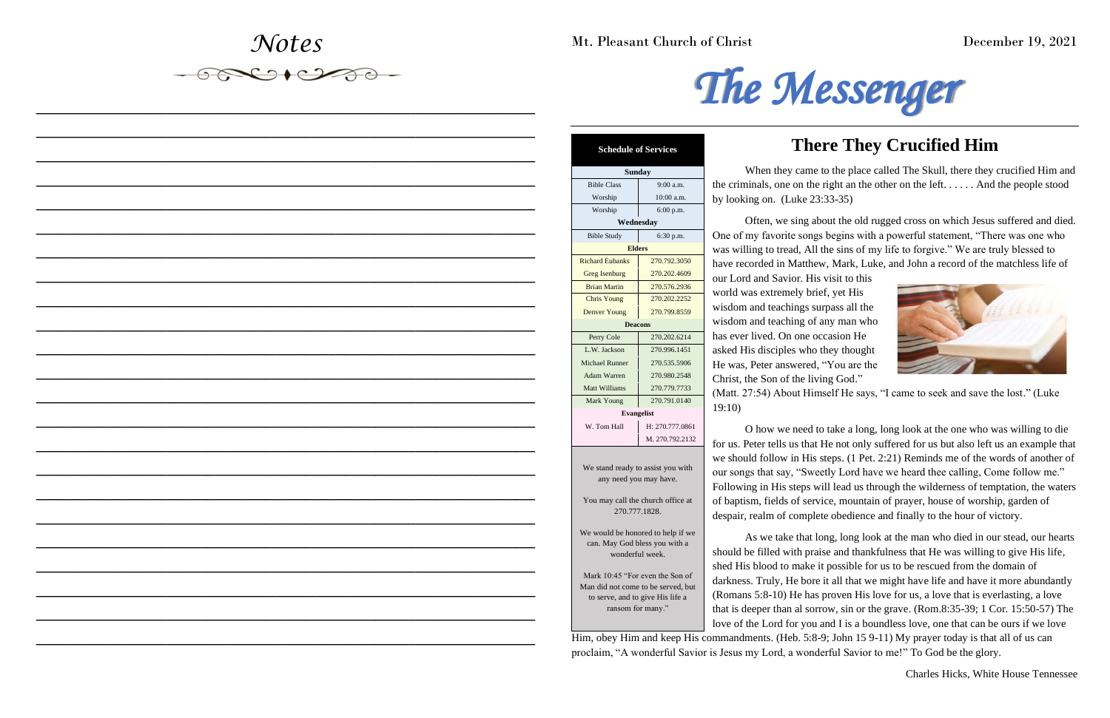# *Notes*



*\_\_\_\_\_\_\_\_\_\_\_\_\_\_\_\_\_\_\_\_\_\_\_\_\_\_\_\_\_\_\_\_\_\_\_\_\_\_\_\_\_\_\_\_\_\_\_\_\_\_*

*\_\_\_\_\_\_\_\_\_\_\_\_\_\_\_\_\_\_\_\_\_\_\_\_\_\_\_\_\_\_\_\_\_\_\_\_\_\_\_\_\_\_\_\_\_\_\_\_\_\_*

*\_\_\_\_\_\_\_\_\_\_\_\_\_\_\_\_\_\_\_\_\_\_\_\_\_\_\_\_\_\_\_\_\_\_\_\_\_\_\_\_\_\_\_\_\_\_\_\_\_\_*

*\_\_\_\_\_\_\_\_\_\_\_\_\_\_\_\_\_\_\_\_\_\_\_\_\_\_\_\_\_\_\_\_\_\_\_\_\_\_\_\_\_\_\_\_\_\_\_\_\_\_*

*\_\_\_\_\_\_\_\_\_\_\_\_\_\_\_\_\_\_\_\_\_\_\_\_\_\_\_\_\_\_\_\_\_\_\_\_\_\_\_\_\_\_\_\_\_\_\_\_\_\_*

*\_\_\_\_\_\_\_\_\_\_\_\_\_\_\_\_\_\_\_\_\_\_\_\_\_\_\_\_\_\_\_\_\_\_\_\_\_\_\_\_\_\_\_\_\_\_\_\_\_\_*

*\_\_\_\_\_\_\_\_\_\_\_\_\_\_\_\_\_\_\_\_\_\_\_\_\_\_\_\_\_\_\_\_\_\_\_\_\_\_\_\_\_\_\_\_\_\_\_\_\_\_*

*\_\_\_\_\_\_\_\_\_\_\_\_\_\_\_\_\_\_\_\_\_\_\_\_\_\_\_\_\_\_\_\_\_\_\_\_\_\_\_\_\_\_\_\_\_\_\_\_\_\_*

*\_\_\_\_\_\_\_\_\_\_\_\_\_\_\_\_\_\_\_\_\_\_\_\_\_\_\_\_\_\_\_\_\_\_\_\_\_\_\_\_\_\_\_\_\_\_\_\_\_\_*

*\_\_\_\_\_\_\_\_\_\_\_\_\_\_\_\_\_\_\_\_\_\_\_\_\_\_\_\_\_\_\_\_\_\_\_\_\_\_\_\_\_\_\_\_\_\_\_\_\_\_*

*\_\_\_\_\_\_\_\_\_\_\_\_\_\_\_\_\_\_\_\_\_\_\_\_\_\_\_\_\_\_\_\_\_\_\_\_\_\_\_\_\_\_\_\_\_\_\_\_\_\_*

*\_\_\_\_\_\_\_\_\_\_\_\_\_\_\_\_\_\_\_\_\_\_\_\_\_\_\_\_\_\_\_\_\_\_\_\_\_\_\_\_\_\_\_\_\_\_\_\_\_\_*

*\_\_\_\_\_\_\_\_\_\_\_\_\_\_\_\_\_\_\_\_\_\_\_\_\_\_\_\_\_\_\_\_\_\_\_\_\_\_\_\_\_\_\_\_\_\_\_\_\_\_*

*\_\_\_\_\_\_\_\_\_\_\_\_\_\_\_\_\_\_\_\_\_\_\_\_\_\_\_\_\_\_\_\_\_\_\_\_\_\_\_\_\_\_\_\_\_\_\_\_\_\_*

*\_\_\_\_\_\_\_\_\_\_\_\_\_\_\_\_\_\_\_\_\_\_\_\_\_\_\_\_\_\_\_\_\_\_\_\_\_\_\_\_\_\_\_\_\_\_\_\_\_\_*

*\_\_\_\_\_\_\_\_\_\_\_\_\_\_\_\_\_\_\_\_\_\_\_\_\_\_\_\_\_\_\_\_\_\_\_\_\_\_\_\_\_\_\_\_\_\_\_\_\_\_*

*\_\_\_\_\_\_\_\_\_\_\_\_\_\_\_\_\_\_\_\_\_\_\_\_\_\_\_\_\_\_\_\_\_\_\_\_\_\_\_\_\_\_\_\_\_\_\_\_\_\_*

*\_\_\_\_\_\_\_\_\_\_\_\_\_\_\_\_\_\_\_\_\_\_\_\_\_\_\_\_\_\_\_\_\_\_\_\_\_\_\_\_\_\_\_\_\_\_\_\_\_\_*

*\_\_\_\_\_\_\_\_\_\_\_\_\_\_\_\_\_\_\_\_\_\_\_\_\_\_\_\_\_\_\_\_\_\_\_\_\_\_\_\_\_\_\_\_\_\_\_\_\_\_*

*\_\_\_\_\_\_\_\_\_\_\_\_\_\_\_\_\_\_\_\_\_\_\_\_\_\_\_\_\_\_\_\_\_\_\_\_\_\_\_\_\_\_\_\_\_\_\_\_\_\_*

*\_\_\_\_\_\_\_\_\_\_\_\_\_\_\_\_\_\_\_\_\_\_\_\_\_\_\_\_\_\_\_\_\_\_\_\_\_\_\_\_\_\_\_\_\_\_\_\_\_\_*

*\_\_\_\_\_\_\_\_\_\_\_\_\_\_\_\_\_\_\_\_\_\_\_\_\_\_\_\_\_\_\_\_\_\_\_\_\_\_\_\_\_\_\_\_\_\_\_\_\_\_*

*\_\_\_\_\_\_\_\_\_\_\_\_\_\_\_\_\_\_\_\_\_\_\_\_\_\_\_\_\_\_\_\_\_\_\_\_\_\_\_\_\_\_\_\_\_\_\_\_\_\_*



## **There They Crucified Him**



Mt. Pleasant Church of Christ December 19, 2021

When they came to the place called The Skull, there they crucified Him and the criminals, one on the right an the other on the left. . . . . . And the people stood by looking on. (Luke 23:33-35)

Often, we sing about the old rugged cross on which Jesus suffered and died. One of my favorite songs begins with a powerful statement, "There was one who was willing to tread, All the sins of my life to forgive." We are truly blessed to have recorded in Matthew, Mark, Luke, and John a record of the matchless life of our Lord and Savior. His visit to this world was extremely brief, yet His wisdom and teachings surpass all the wisdom and teaching of any man who has ever lived. On one occasion He asked His disciples who they thought He was, Peter answered, "You are the Christ, the Son of the living God." (Matt. 27:54) About Himself He says, "I came to seek and save the lost." (Luke 19:10)

O how we need to take a long, long look at the one who was willing to die for us. Peter tells us that He not only suffered for us but also left us an example that we should follow in His steps. (1 Pet. 2:21) Reminds me of the words of another of our songs that say, "Sweetly Lord have we heard thee calling, Come follow me." Following in His steps will lead us through the wilderness of temptation, the waters of baptism, fields of service, mountain of prayer, house of worship, garden of despair, realm of complete obedience and finally to the hour of victory.

As we take that long, long look at the man who died in our stead, our hearts

Charles Hicks, White House Tennessee

| <b>Schedule of Services</b> |
|-----------------------------|
|                             |

should be filled with praise and thankfulness that He was willing to give His life, shed His blood to make it possible for us to be rescued from the domain of darkness. Truly, He bore it all that we might have life and have it more abundantly (Romans 5:8-10) He has proven His love for us, a love that is everlasting, a love that is deeper than al sorrow, sin or the grave. (Rom.8:35-39; 1 Cor. 15:50-57) The love of the Lord for you and I is a boundless love, one that can be ours if we love Him, obey Him and keep His commandments. (Heb. 5:8-9; John 15 9-11) My prayer today is that all of us can proclaim, "A wonderful Savior is Jesus my Lord, a wonderful Savior to me!" To God be the glory. can. May God bless you with a wonderful week. Mark 10:45 "For even the Son of Man did not come to be served, but to serve, and to give His life a ransom for many."

| <b>Sunday</b>                                      |                 |  |  |  |
|----------------------------------------------------|-----------------|--|--|--|
| <b>Bible Class</b>                                 | 9:00 a.m.       |  |  |  |
| Worship                                            | 10:00 a.m.      |  |  |  |
| Worship                                            | 6:00 p.m.       |  |  |  |
| Wednesday                                          |                 |  |  |  |
| <b>Bible Study</b>                                 | 6:30 p.m.       |  |  |  |
| <b>Elders</b>                                      |                 |  |  |  |
| <b>Richard Eubanks</b>                             | 270.792.3050    |  |  |  |
| <b>Greg Isenburg</b>                               | 270.202.4609    |  |  |  |
| <b>Brian Martin</b>                                | 270.576.2936    |  |  |  |
| <b>Chris Young</b>                                 | 270.202.2252    |  |  |  |
| <b>Denver Young</b>                                | 270.799.8559    |  |  |  |
| <b>Deacons</b>                                     |                 |  |  |  |
| Perry Cole                                         | 270.202.6214    |  |  |  |
| L.W. Jackson                                       | 270.996.1451    |  |  |  |
| <b>Michael Runner</b>                              | 270.535.5906    |  |  |  |
| <b>Adam Warren</b>                                 | 270.980.2548    |  |  |  |
| Matt Williams                                      | 270.779.7733    |  |  |  |
| Mark Young                                         | 270.791.0140    |  |  |  |
| <b>Evangelist</b>                                  |                 |  |  |  |
| W. Tom Hall                                        | H: 270.777.0861 |  |  |  |
|                                                    | M. 270.792.2132 |  |  |  |
|                                                    |                 |  |  |  |
| We stand ready to assist you with                  |                 |  |  |  |
| any need you may have.                             |                 |  |  |  |
| You may call the church office at<br>270.777.1828. |                 |  |  |  |
| We would be honored to help if we<br>$C_{111}$     |                 |  |  |  |